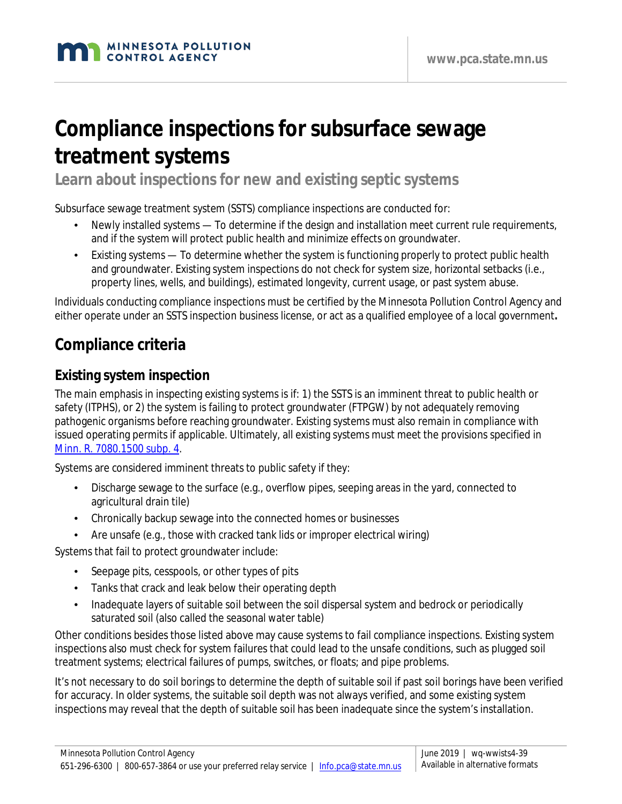# **Compliance inspections for subsurface sewage treatment systems**

**Learn about inspections for new and existing septic systems**

Subsurface sewage treatment system (SSTS) compliance inspections are conducted for:

- Newly installed systems To determine if the design and installation meet current rule requirements, and if the system will protect public health and minimize effects on groundwater.
- Existing systems To determine whether the system is functioning properly to protect public health and groundwater. Existing system inspections do not check for system size, horizontal setbacks (i.e., property lines, wells, and buildings), estimated longevity, current usage, or past system abuse.

Individuals conducting compliance inspections must be certified by the Minnesota Pollution Control Agency and either operate under an SSTS inspection business license, or act as a qualified employee of a local government**.**

# **Compliance criteria**

## **Existing system inspection**

The main emphasis in inspecting existing systems is if: 1) the SSTS is an imminent threat to public health or safety (ITPHS), or 2) the system is failing to protect groundwater (FTPGW) by not adequately removing pathogenic organisms before reaching groundwater. Existing systems must also remain in compliance with issued operating permits if applicable. Ultimately, all existing systems must meet the provisions specified in [Minn. R. 7080.1500 subp. 4.](https://www.revisor.mn.gov/rules/7080.1500/)

Systems are considered imminent threats to public safety if they:

- Discharge sewage to the surface (e.g., overflow pipes, seeping areas in the yard, connected to agricultural drain tile)
- Chronically backup sewage into the connected homes or businesses
- Are unsafe (e.g., those with cracked tank lids or improper electrical wiring)

Systems that fail to protect groundwater include:

- Seepage pits, cesspools, or other types of pits
- Tanks that crack and leak below their operating depth
- Inadequate layers of suitable soil between the soil dispersal system and bedrock or periodically saturated soil (also called the seasonal water table)

Other conditions besides those listed above may cause systems to fail compliance inspections. Existing system inspections also must check for system failures that could lead to the unsafe conditions, such as plugged soil treatment systems; electrical failures of pumps, switches, or floats; and pipe problems.

It's not necessary to do soil borings to determine the depth of suitable soil if past soil borings have been verified for accuracy. In older systems, the suitable soil depth was not always verified, and some existing system inspections may reveal that the depth of suitable soil has been inadequate since the system's installation.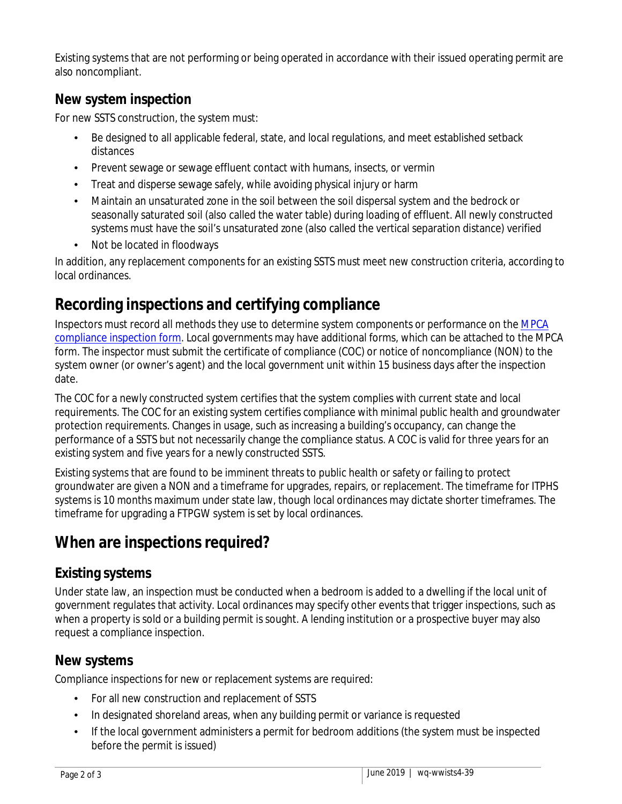Existing systems that are not performing or being operated in accordance with their issued operating permit are also noncompliant.

## **New system inspection**

For new SSTS construction, the system must:

- Be designed to all applicable federal, state, and local regulations, and meet established setback distances
- Prevent sewage or sewage effluent contact with humans, insects, or vermin
- Treat and disperse sewage safely, while avoiding physical injury or harm
- Maintain an unsaturated zone in the soil between the soil dispersal system and the bedrock or seasonally saturated soil (also called the water table) during loading of effluent. All newly constructed systems must have the soil's unsaturated zone (also called the vertical separation distance) verified
- Not be located in floodways

In addition, any replacement components for an existing SSTS must meet new construction criteria, according to local ordinances.

# **Recording inspections and certifying compliance**

Inspectors must record all methods they use to determine system components or performance on the [MPCA](https://www.pca.state.mn.us/sites/default/files/wq-wwists4-31b.pdf)  [compliance inspection form.](https://www.pca.state.mn.us/sites/default/files/wq-wwists4-31b.pdf) Local governments may have additional forms, which can be attached to the MPCA form. The inspector must submit the certificate of compliance (COC) or notice of noncompliance (NON) to the system owner (or owner's agent) and the local government unit within 15 business days after the inspection date.

The COC for a newly constructed system certifies that the system complies with current state and local requirements. The COC for an existing system certifies compliance with minimal public health and groundwater protection requirements. Changes in usage, such as increasing a building's occupancy, can change the performance of a SSTS but not necessarily change the compliance status. A COC is valid for three years for an existing system and five years for a newly constructed SSTS.

Existing systems that are found to be imminent threats to public health or safety or failing to protect groundwater are given a NON and a timeframe for upgrades, repairs, or replacement. The timeframe for ITPHS systems is 10 months maximum under state law, though local ordinances may dictate shorter timeframes. The timeframe for upgrading a FTPGW system is set by local ordinances.

## **When are inspections required?**

## **Existing systems**

Under state law, an inspection must be conducted when a bedroom is added to a dwelling if the local unit of government regulates that activity. Local ordinances may specify other events that trigger inspections, such as when a property is sold or a building permit is sought. A lending institution or a prospective buyer may also request a compliance inspection.

#### **New systems**

Compliance inspections for new or replacement systems are required:

- For all new construction and replacement of SSTS
- In designated shoreland areas, when any building permit or variance is requested
- If the local government administers a permit for bedroom additions (the system must be inspected before the permit is issued)